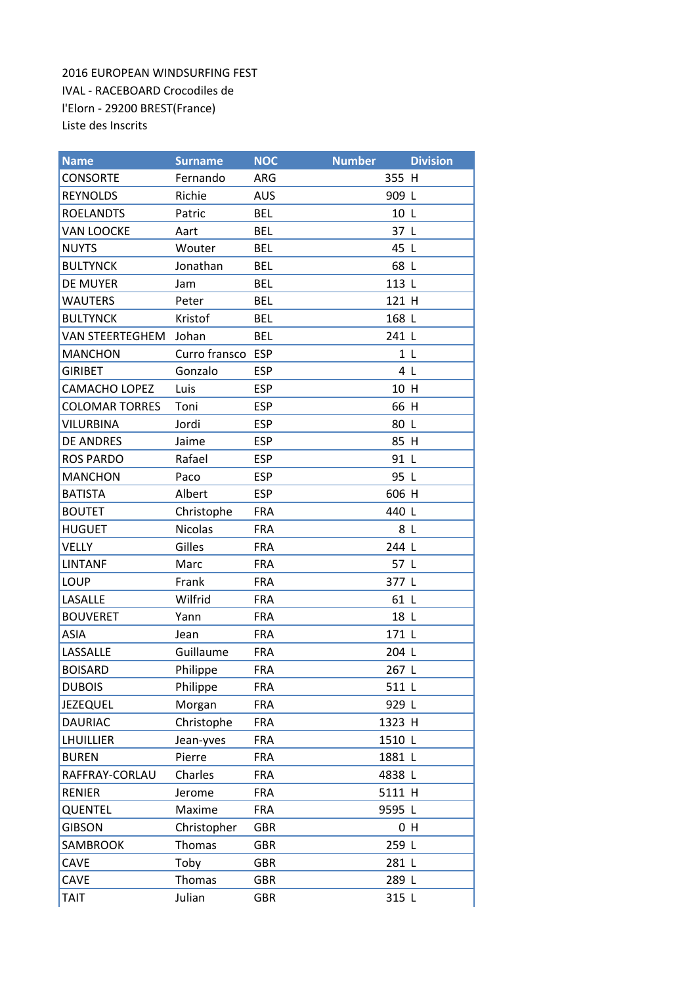2016 EUROPEAN WINDSURFING FEST IVAL - RACEBOARD Crocodiles de l'Elorn - 29200 BREST(France) Liste des Inscrits

| <b>Name</b>            | <b>Surname</b>    | <b>NOC</b> | <b>Number</b> | <b>Division</b> |
|------------------------|-------------------|------------|---------------|-----------------|
| <b>CONSORTE</b>        | Fernando          | ARG        | 355 H         |                 |
| <b>REYNOLDS</b>        | Richie            | <b>AUS</b> | 909 L         |                 |
| <b>ROELANDTS</b>       | Patric            | <b>BEL</b> | 10L           |                 |
| <b>VAN LOOCKE</b>      | Aart              | <b>BEL</b> | 37 L          |                 |
| <b>NUYTS</b>           | Wouter            | <b>BEL</b> | 45 L          |                 |
| <b>BULTYNCK</b>        | Jonathan          | <b>BEL</b> | 68 L          |                 |
| <b>DE MUYER</b>        | Jam               | <b>BEL</b> | 113 L         |                 |
| <b>WAUTERS</b>         | Peter             | <b>BEL</b> | 121 H         |                 |
| <b>BULTYNCK</b>        | Kristof           | <b>BEL</b> | 168 L         |                 |
| <b>VAN STEERTEGHEM</b> | Johan             | <b>BEL</b> | 241 L         |                 |
| <b>MANCHON</b>         | Curro fransco ESP |            |               | 1 <sub>L</sub>  |
| <b>GIRIBET</b>         | Gonzalo           | <b>ESP</b> |               | 4 L             |
| <b>CAMACHO LOPEZ</b>   | Luis              | <b>ESP</b> | 10 H          |                 |
| <b>COLOMAR TORRES</b>  | Toni              | <b>ESP</b> | 66 H          |                 |
| <b>VILURBINA</b>       | Jordi             | <b>ESP</b> | 80 L          |                 |
| <b>DE ANDRES</b>       | Jaime             | <b>ESP</b> | 85 H          |                 |
| <b>ROS PARDO</b>       | Rafael            | <b>ESP</b> | 91 L          |                 |
| <b>MANCHON</b>         | Paco              | <b>ESP</b> | 95 L          |                 |
| <b>BATISTA</b>         | Albert            | <b>ESP</b> | 606 H         |                 |
| <b>BOUTET</b>          | Christophe        | <b>FRA</b> | 440 L         |                 |
| <b>HUGUET</b>          | <b>Nicolas</b>    | <b>FRA</b> | 8 L           |                 |
| <b>VELLY</b>           | Gilles            | <b>FRA</b> | 244 L         |                 |
| <b>LINTANF</b>         | Marc              | <b>FRA</b> | 57 L          |                 |
| <b>LOUP</b>            | Frank             | <b>FRA</b> | 377 L         |                 |
| LASALLE                | Wilfrid           | <b>FRA</b> | 61 L          |                 |
| <b>BOUVERET</b>        | Yann              | <b>FRA</b> | 18 L          |                 |
| <b>ASIA</b>            | Jean              | <b>FRA</b> | 171 L         |                 |
| LASSALLE               | Guillaume         | <b>FRA</b> | 204 L         |                 |
| <b>BOISARD</b>         | Philippe          | <b>FRA</b> | 267 L         |                 |
| <b>DUBOIS</b>          | Philippe          | <b>FRA</b> | 511 L         |                 |
| <b>JEZEQUEL</b>        | Morgan            | <b>FRA</b> | 929 L         |                 |
| <b>DAURIAC</b>         | Christophe        | <b>FRA</b> | 1323 H        |                 |
| <b>LHUILLIER</b>       | Jean-yves         | <b>FRA</b> | 1510 L        |                 |
| <b>BUREN</b>           | Pierre            | <b>FRA</b> | 1881 L        |                 |
| RAFFRAY-CORLAU         | Charles           | <b>FRA</b> | 4838 L        |                 |
| <b>RENIER</b>          | Jerome            | <b>FRA</b> | 5111 H        |                 |
| QUENTEL                | Maxime            | <b>FRA</b> | 9595 L        |                 |
| <b>GIBSON</b>          | Christopher       | <b>GBR</b> |               | 0 <sub>H</sub>  |
| SAMBROOK               | Thomas            | <b>GBR</b> | 259 L         |                 |
| CAVE                   | Toby              | <b>GBR</b> | 281 L         |                 |
| CAVE                   | Thomas            | <b>GBR</b> | 289 L         |                 |
| <b>TAIT</b>            | Julian            | <b>GBR</b> | 315 L         |                 |

<u> 1989 - Johann Stein, mars ar yn y breninn y breninn y breninn y breninn y breninn y breninn y breninn y breni</u>